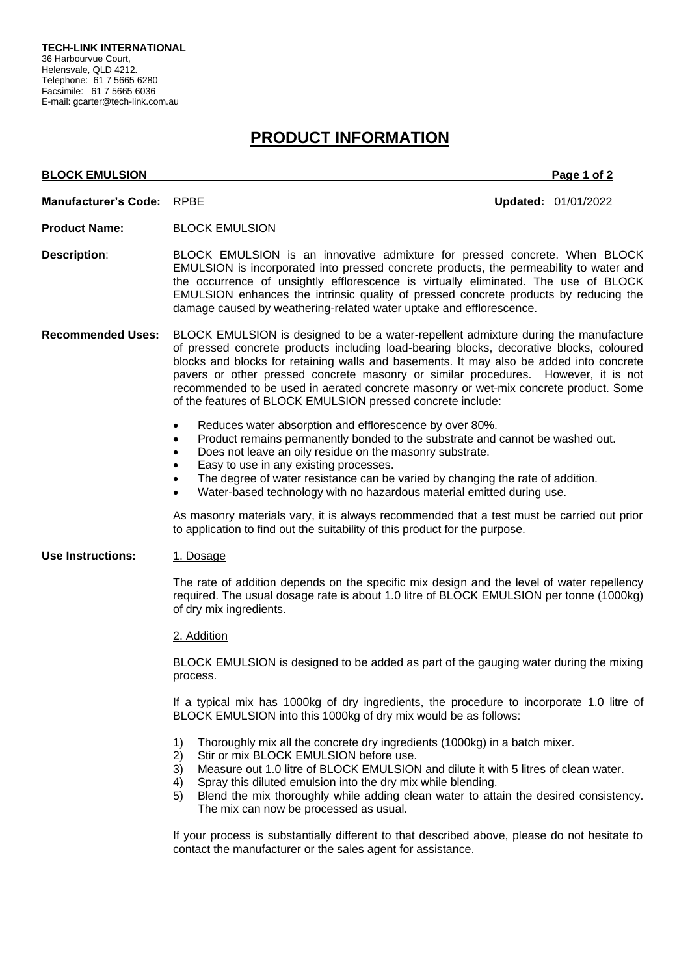# **PRODUCT INFORMATION**

## **BLOCK EMULSION** Page 1 of 2 **Manufacturer's Code:** RPBE **Updated:** 01/01/2022 **Product Name:** BLOCK EMULSION **Description**: BLOCK EMULSION is an innovative admixture for pressed concrete. When BLOCK EMULSION is incorporated into pressed concrete products, the permeability to water and the occurrence of unsightly efflorescence is virtually eliminated. The use of BLOCK EMULSION enhances the intrinsic quality of pressed concrete products by reducing the damage caused by weathering-related water uptake and efflorescence. **Recommended Uses:** BLOCK EMULSION is designed to be a water-repellent admixture during the manufacture of pressed concrete products including load-bearing blocks, decorative blocks, coloured blocks and blocks for retaining walls and basements. It may also be added into concrete pavers or other pressed concrete masonry or similar procedures. However, it is not recommended to be used in aerated concrete masonry or wet-mix concrete product. Some of the features of BLOCK EMULSION pressed concrete include: • Reduces water absorption and efflorescence by over 80%. • Product remains permanently bonded to the substrate and cannot be washed out. • Does not leave an oily residue on the masonry substrate. • Easy to use in any existing processes. The degree of water resistance can be varied by changing the rate of addition. • Water-based technology with no hazardous material emitted during use. As masonry materials vary, it is always recommended that a test must be carried out prior to application to find out the suitability of this product for the purpose. **Use Instructions:** 1. Dosage The rate of addition depends on the specific mix design and the level of water repellency required. The usual dosage rate is about 1.0 litre of BLOCK EMULSION per tonne (1000kg) of dry mix ingredients. 2. Addition BLOCK EMULSION is designed to be added as part of the gauging water during the mixing process. If a typical mix has 1000kg of dry ingredients, the procedure to incorporate 1.0 litre of BLOCK EMULSION into this 1000kg of dry mix would be as follows: 1) Thoroughly mix all the concrete dry ingredients (1000kg) in a batch mixer. 2) Stir or mix BLOCK EMULSION before use. 3) Measure out 1.0 litre of BLOCK EMULSION and dilute it with 5 litres of clean water. 4) Spray this diluted emulsion into the dry mix while blending. 5) Blend the mix thoroughly while adding clean water to attain the desired consistency. The mix can now be processed as usual.

If your process is substantially different to that described above, please do not hesitate to contact the manufacturer or the sales agent for assistance.